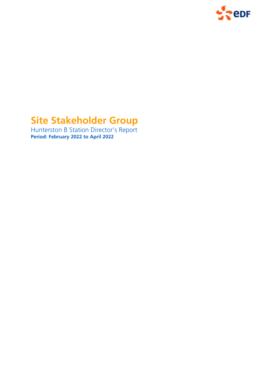

# **Site Stakeholder Group**

Hunterston B Station Director's Report **Period: February 2022 to April 2022**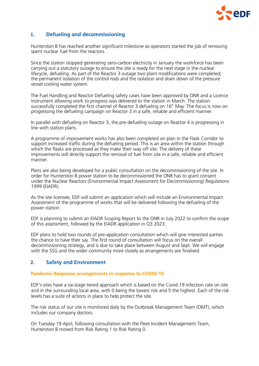

## **1. Defueling and decommissioning**

Hunterston B has reached another significant milestone as operators started the job of removing spent nuclear fuel from the reactors.

Since the station stopped generating zero-carbon electricity in January the workforce has been carrying out a statutory outage to ensure the site is ready for the next stage in the nuclear lifecycle, defueling. As part of the Reactor 3 outage two plant modifications were completed; the permanent isolation of the control rods and the isolation and drain down of the pressure vessel cooling water system.

The Fuel Handling and Reactor Defueling safety cases have been approved by ONR and a Licence Instrument allowing work to progress was delivered to the station in March. The station successfully completed the first channel of Reactor 3 defueling on  $16<sup>th</sup>$  May. The focus is now on progressing the defueling campaign on Reactor 3 in a safe, reliable and efficient manner.

In parallel with defueling on Reactor 3, the pre-defueling outage on Reactor 4 is progressing in line with station plans.

A programme of improvement works has also been completed on plan in the Flask Corridor to support increased traffic during the defueling period. This is an area within the station through which the flasks are processed as they make their way off site. The delivery of these improvements will directly support the removal of fuel from site in a safe, reliable and efficient manner.

Plans are also being developed for a public consultation on the decommissioning of the site. In order for Hunterston B power station to be decommissioned the ONR has to grant consent under the Nuclear Reactors (Environmental Impact Assessment for Decommissioning) Regulations 1999 (EIADR).

As the site licensee, EDF will submit an application which will include an Environmental Impact Assessment of the programme of works that will be delivered following the defueling of the power station.

EDF is planning to submit an EIADR Scoping Report to the ONR in July 2022 to confirm the scope of this assessment, followed by the EIADR application in Q3 2023.

EDF plans to hold two rounds of pre-application consultation which will give interested parties the chance to have their say. The first round of consultation will focus on the overall decommissioning strategy, and is due to take place between August and Sept. We will engage with the SSG and the wider community more closely as arrangements are finalised.

## **2. Safety and Environment**

#### **Pandemic Response arrangements in response to COVID-19**

EDF's sites have a six-stage tiered approach which is based on the Covid-19 infection rate on site and in the surrounding local area, with 0 being the lowest risk and 5 the highest. Each of the risk levels has a suite of actions in place to help protect the site.

The risk status of our site is monitored daily by the Outbreak Management Team (OMT), which includes our company doctors.

On Tuesday 19 April, following consultation with the Fleet Incident Management Team, Hunterston B moved from Risk Rating 1 to Risk Rating 0.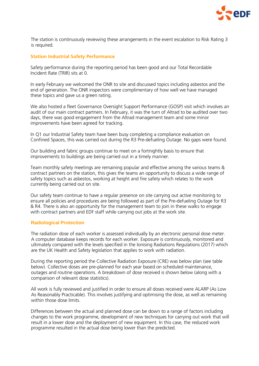

The station is continuously reviewing these arrangements in the event escalation to Risk Rating 3 is required.

#### **Station Industrial Safety Performance**

Safety performance during the reporting period has been good and our Total Recordable Incident Rate (TRIR) sits at 0.

In early February we welcomed the ONR to site and discussed topics including asbestos and the end of generation. The ONR inspectors were complimentary of how well we have managed these topics and gave us a green rating.

We also hosted a fleet Governance Oversight Support Performance (GOSP) visit which involves an audit of our main contract partners. In February, it was the turn of Altrad to be audited over two days, there was good engagement from the Altrad management team and some minor improvements have been agreed for tracking.

In Q1 our Industrial Safety team have been busy completing a compliance evaluation on Confined Spaces, this was carried out during the R3 Pre-defueling Outage. No gaps were found.

Our building and fabric groups continue to meet on a fortnightly basis to ensure that improvements to buildings are being carried out in a timely manner.

Team monthly safety meetings are remaining popular and effective among the various teams & contract partners on the station, this gives the teams an opportunity to discuss a wide range of safety topics such as asbestos, working at height and fire safety which relates to the work currently being carried out on site.

Our safety team continue to have a regular presence on site carrying out active monitoring to ensure all policies and procedures are being followed as part of the Pre-defueling Outage for R3 & R4. There is also an opportunity for the management team to join in these walks to engage with contract partners and EDF staff while carrying out jobs at the work site.

#### **Radiological Protection**

The radiation dose of each worker is assessed individually by an electronic personal dose meter. A computer database keeps records for each worker. Exposure is continuously, monitored and ultimately compared with the levels specified in the Ionising Radiations Regulations (2017) which are the UK Health and Safety legislation that applies to work with radiation.

During the reporting period the Collective Radiation Exposure (CRE) was below plan (see table below). Collective doses are pre-planned for each year based on scheduled maintenance, outages and routine operations. A breakdown of dose received is shown below (along with a comparison of relevant dose statistics).

All work is fully reviewed and justified in order to ensure all doses received were ALARP (As Low As Reasonably Practicable). This involves justifying and optimising the dose, as well as remaining within those dose limits.

Differences between the actual and planned dose can be down to a range of factors including changes to the work programme, development of new techniques for carrying out work that will result in a lower dose and the deployment of new equipment. In this case, the reduced work programme resulted in the actual dose being lower than the predicted.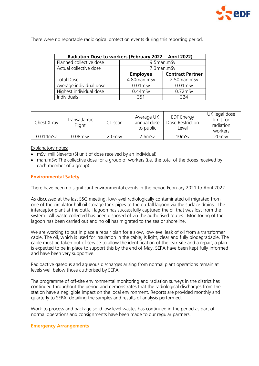

There were no reportable radiological protection events during this reporting period.

| Radiation Dose to workers (February 2022 - April 2022) |                 |                         |  |  |  |  |
|--------------------------------------------------------|-----------------|-------------------------|--|--|--|--|
| Planned collective dose                                | 9.5man.mSv      |                         |  |  |  |  |
| Actual collective dose                                 | 7.3man.mSv      |                         |  |  |  |  |
|                                                        | <b>Employee</b> | <b>Contract Partner</b> |  |  |  |  |
| <b>Total Dose</b>                                      | 4.80man.mSv     | 2.50man.mSv             |  |  |  |  |
| Average individual dose                                | $0.01$ mSv      | $0.01$ mSv              |  |  |  |  |
| Highest individual dose                                | $0.44$ mSv      | $0.72$ mSv              |  |  |  |  |
| Individuals                                            | 351             | 324                     |  |  |  |  |

| Chest X-ray | Transatlantic<br>Flight | CT scan   | Average UK<br>annual dose<br>to public | <b>EDF</b> Energy<br>Dose Restriction<br>Level | UK legal dose<br>limit for<br>radiation<br>workers |
|-------------|-------------------------|-----------|----------------------------------------|------------------------------------------------|----------------------------------------------------|
| $0.014$ mSv | $0.08$ m $Sv$           | $2.0m$ Sv | $2.6m$ Sv                              | 10 <sub>mSv</sub>                              | 20mSv                                              |

#### Explanatory notes:

- mSv: milliSieverts (SI unit of dose received by an individual)
- man.mSv: The collective dose for a group of workers (i.e. the total of the doses received by each member of a group).

## **Environmental Safety**

There have been no significant environmental events in the period February 2021 to April 2022.

As discussed at the last SSG meeting, low-level radiologically contaminated oil migrated from one of the circulator hall oil storage tank pipes to the outfall lagoon via the surface drains. The interceptor plant at the outfall lagoon has successfully captured the oil that was lost from the system. All waste collected has been disposed of via the authorised routes. Monitoring of the lagoon has been carried out and no oil has migrated to the sea or shoreline.

We are working to put in place a repair plan for a slow, low-level leak of oil from a transformer cable. The oil, which is used for insulation in the cable, is light, clear and fully biodegradable. The cable must be taken out of service to allow the identification of the leak site and a repair; a plan is expected to be in place to support this by the end of May. SEPA have been kept fully informed and have been very supportive.

Radioactive gaseous and aqueous discharges arising from normal plant operations remain at levels well below those authorised by SEPA.

The programme of off-site environmental monitoring and radiation surveys in the district has continued throughout the period and demonstrates that the radiological discharges from the station have a negligible impact on the local environment. Reports are provided monthly and quarterly to SEPA, detailing the samples and results of analysis performed.

Work to process and package solid low level wastes has continued in the period as part of normal operations and consignments have been made to our regular partners.

#### **Emergency Arrangements**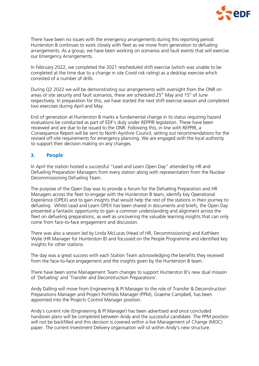

There have been no issues with the emergency arrangements during this reporting period. Hunterston B continues to work closely with fleet as we move from generation to defueling arrangements. As a group, we have been working on scenarios and fault events that will exercise our Emergency Arrangements.

In February 2022, we completed the 2021 rescheduled shift exercise (which was unable to be completed at the time due to a change in site Covid risk rating) as a desktop exercise which consisted of a number of drills.

During Q2 2022 we will be demonstrating our arrangements with oversight from the ONR on areas of site security and fault scenarios, these are scheduled  $25<sup>th</sup>$  May and  $15<sup>th</sup>$  of June respectively. In preparation for this, we have started the next shift exercise season and completed two exercises during April and May.

End of generation at Hunterston B marks a fundamental change in its status requiring hazard evaluations be conducted as part of EDF's duty under REPPIR legislation. These have been reviewed and are due to be issued to the ONR. Following this, in line with REPPIR, a Consequence Report will be sent to North Ayrshire Council, setting out recommendations for the revised off-site requirements for emergency planning. We are engaged with the local authority to support their decision making on any changes.

## **3. People**

In April the station hosted a successful "Lead and Learn Open Day" attended by HR and Defueling Preparation Managers from every station along with representation from the Nuclear Decommissioning Defueling Team.

The purpose of the Open Day was to provide a forum for the Defueling Preparation and HR Managers across the fleet to engage with the Hunterston B team, identify key Operational Experience (OPEX) and to gain insights that would help the rest of the stations in their journey to defueling. Whilst Lead and Learn OPEX has been shared in documents and briefs, the Open Day presented a fantastic opportunity to gain a common understanding and alignment across the fleet on defueling preparations, as well as uncovering the valuable learning insights that can only come from face-to-face engagement and discussion.

There was also a session led by Linda McLucas (Head of HR, Decommissioning) and Kathleen Wylie (HR Manager for Hunterston B) and focussed on the People Programme and identified key insights for other stations.

The day was a great success with each Station Team acknowledging the benefits they received from the face-to-face engagement and the insights given by the Hunterston B team.

There have been some Management Team changes to support Hunterston B's new dual mission of 'Defueling' and 'Transfer and Deconstruction Preparations'.

Andy Dalling will move from Engineering & PI Manager to the role of Transfer & Deconstruction Preparations Manager and Project Portfolio Manager (PPM), Graeme Campbell, has been appointed into the Projects Control Manager position.

Andy's current role (Engineering & PI Manager) has been advertised and once concluded handover plans will be completed between Andy and the successful candidate. The PPM position will not be backfilled and this decision is covered within a live Management of Change (MOC) paper. The current Investment Delivery organisation will sit within Andy's new structure.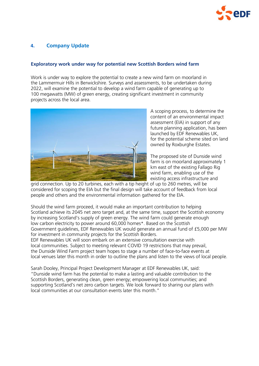

# **4. Company Update**

## **Exploratory work under way for potential new Scottish Borders wind farm**

Work is under way to explore the potential to create a new wind farm on moorland in the Lammermuir Hills in Berwickshire. Surveys and assessments, to be undertaken during 2022, will examine the potential to develop a wind farm capable of generating up to 100 megawatts (MW) of green energy, creating significant investment in community projects across the local area.



A scoping process, to determine the content of an environmental impact assessment (EIA) in support of any future planning application, has been launched by EDF Renewables UK, for the potential scheme sited on land owned by Roxburghe Estates.

The proposed site of Dunside wind farm is on moorland approximately 1 km east of the existing Fallago Rig wind farm, enabling use of the existing access infrastructure and

grid connection. Up to 20 turbines, each with a tip height of up to 260 metres, will be considered for scoping the EIA but the final design will take account of feedback from local people and others and the environmental information gathered for the EIA.

Should the wind farm proceed, it would make an important contribution to helping Scotland achieve its 2045 net zero target and, at the same time, support the Scottish economy by increasing Scotland's supply of green energy. The wind farm could generate enough low carbon electricity to power around 60,000 homes\*. Based on the Scottish Government guidelines, EDF Renewables UK would generate an annual fund of £5,000 per MW for investment in community projects for the Scottish Borders.

EDF Renewables UK will soon embark on an extensive consultation exercise with local communities. Subject to meeting relevant COVID 19 restrictions that may prevail, the Dunside Wind Farm project team hopes to stage a number of face-to-face events at local venues later this month in order to outline the plans and listen to the views of local people.

Sarah Dooley, Principal Project Development Manager at EDF Renewables UK, said: "Dunside wind farm has the potential to make a lasting and valuable contribution to the Scottish Borders, generating clean, green energy; empowering local communities; and supporting Scotland's net zero carbon targets. We look forward to sharing our plans with local communities at our consultation events later this month."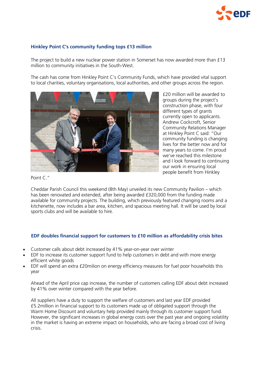

## **Hinkley Point C's community funding tops £13 million**

The project to build a new nuclear power station in Somerset has now awarded more than £13 million to community initiatives in the South-West.

The cash has come from Hinkley Point C's Community Funds, which have provided vital support to local charities, voluntary organisations, local authorities, and other groups across the region.



£20 million will be awarded to groups during the project's construction phase, with four different types of grants currently open to applicants. Andrew Cockcroft, Senior Community Relations Manager at Hinkley Point C said: "Our community funding is changing lives for the better now and for many years to come. I'm proud we've reached this milestone and I look forward to continuing our work in ensuring local people benefit from Hinkley

Point C."

Cheddar Parish Council this weekend (8th May) unveiled its new Community Pavilion – which has been renovated and extended, after being awarded £320,000 from the funding made available for community projects. The building, which previously featured changing rooms and a kitchenette, now includes a bar area, kitchen, and spacious meeting hall. It will be used by local sports clubs and will be available to hire.

#### **EDF doubles financial support for customers to £10 million as affordability crisis bites**

- Customer calls about debt increased by 41% year-on-year over winter
- EDF to increase its customer support fund to help customers in debt and with more energy efficient white goods
- EDF will spend an extra £20milion on energy efficiency measures for fuel poor households this year

Ahead of the April price cap increase, the number of customers calling EDF about debt increased by 41% over winter compared with the year before.

All suppliers have a duty to support the welfare of customers and last year EDF provided £5.2million in financial support to its customers made up of obligated support through the Warm Home Discount and voluntary help provided mainly through its customer support fund. However, the significant increases in global energy costs over the past year and ongoing volatility in the market is having an extreme impact on households, who are facing a broad cost of living crisis.